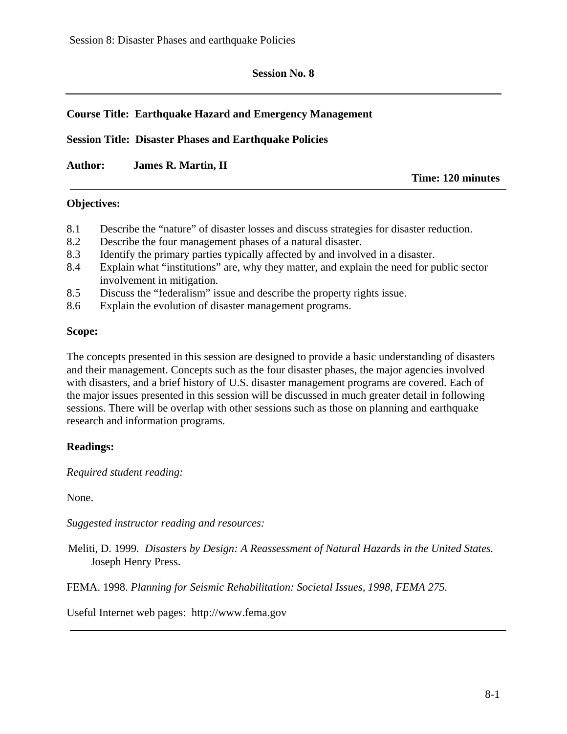### **Session No. 8**

## **Course Title: Earthquake Hazard and Emergency Management**

**Session Title: Disaster Phases and Earthquake Policies** 

**Author: James R. Martin, II** 

**Time: 120 minutes**

#### **Objectives:**

- 8.1 Describe the "nature" of disaster losses and discuss strategies for disaster reduction.
- 8.2 Describe the four management phases of a natural disaster.
- 8.3 Identify the primary parties typically affected by and involved in a disaster.
- 8.4 Explain what "institutions" are, why they matter, and explain the need for public sector involvement in mitigation.
- 8.5 Discuss the "federalism" issue and describe the property rights issue.
- 8.6 Explain the evolution of disaster management programs.

#### **Scope:**

The concepts presented in this session are designed to provide a basic understanding of disasters and their management. Concepts such as the four disaster phases, the major agencies involved with disasters, and a brief history of U.S. disaster management programs are covered. Each of the major issues presented in this session will be discussed in much greater detail in following sessions. There will be overlap with other sessions such as those on planning and earthquake research and information programs.

### **Readings:**

*Required student reading:* 

None.

*Suggested instructor reading and resources:* 

Meliti, D. 1999. *Disasters by Design: A Reassessment of Natural Hazards in the United States.*  Joseph Henry Press.

FEMA. 1998. *Planning for Seismic Rehabilitation: Societal Issues, 1998, FEMA 275.* 

Useful Internet web pages: http://www.fema.gov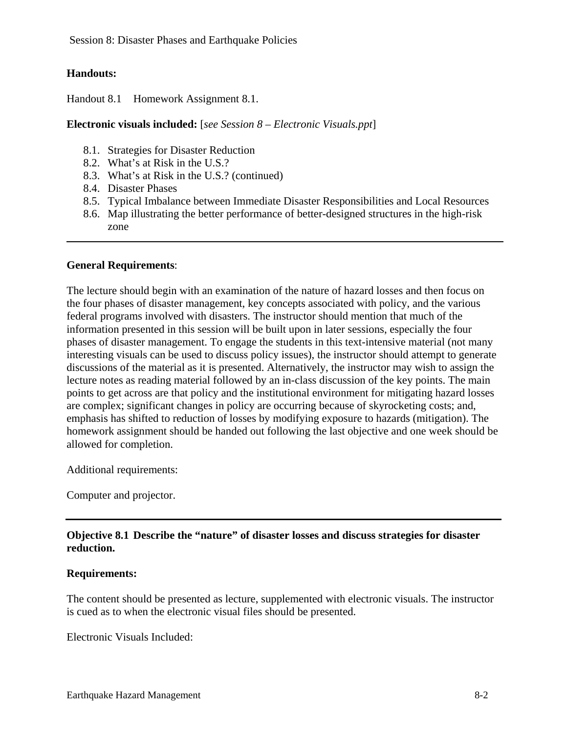Session 8: Disaster Phases and Earthquake Policies

## **Handouts:**

Handout 8.1 Homework Assignment 8.1.

### **Electronic visuals included:** [*see Session 8 – Electronic Visuals.ppt*]

- 8.1. Strategies for Disaster Reduction
- 8.2. What's at Risk in the U.S.?
- 8.3. What's at Risk in the U.S.? (continued)
- 8.4. Disaster Phases
- 8.5. Typical Imbalance between Immediate Disaster Responsibilities and Local Resources
- 8.6. Map illustrating the better performance of better-designed structures in the high-risk zone

### **General Requirements**:

The lecture should begin with an examination of the nature of hazard losses and then focus on the four phases of disaster management, key concepts associated with policy, and the various federal programs involved with disasters. The instructor should mention that much of the information presented in this session will be built upon in later sessions, especially the four phases of disaster management. To engage the students in this text-intensive material (not many interesting visuals can be used to discuss policy issues), the instructor should attempt to generate discussions of the material as it is presented. Alternatively, the instructor may wish to assign the lecture notes as reading material followed by an in-class discussion of the key points. The main points to get across are that policy and the institutional environment for mitigating hazard losses are complex; significant changes in policy are occurring because of skyrocketing costs; and, emphasis has shifted to reduction of losses by modifying exposure to hazards (mitigation). The homework assignment should be handed out following the last objective and one week should be allowed for completion.

Additional requirements:

Computer and projector.

## **Objective 8.1 Describe the "nature" of disaster losses and discuss strategies for disaster reduction.**

### **Requirements:**

The content should be presented as lecture, supplemented with electronic visuals. The instructor is cued as to when the electronic visual files should be presented.

Electronic Visuals Included: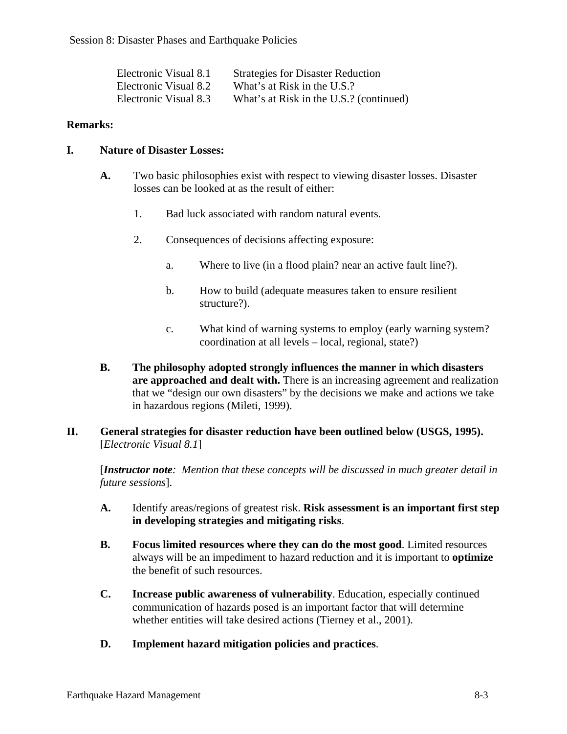| Electronic Visual 8.1 | <b>Strategies for Disaster Reduction</b> |
|-----------------------|------------------------------------------|
| Electronic Visual 8.2 | What's at Risk in the U.S.?              |
| Electronic Visual 8.3 | What's at Risk in the U.S.? (continued)  |

### **Remarks:**

### **I. Nature of Disaster Losses:**

- **A.** Two basic philosophies exist with respect to viewing disaster losses. Disaster losses can be looked at as the result of either:
	- 1. Bad luck associated with random natural events.
	- 2. Consequences of decisions affecting exposure:
		- a. Where to live (in a flood plain? near an active fault line?).
		- b. How to build (adequate measures taken to ensure resilient structure?).
		- c. What kind of warning systems to employ (early warning system? coordination at all levels – local, regional, state?)
- **B. The philosophy adopted strongly influences the manner in which disasters are approached and dealt with.** There is an increasing agreement and realization that we "design our own disasters" by the decisions we make and actions we take in hazardous regions (Mileti, 1999).
- **II. General strategies for disaster reduction have been outlined below (USGS, 1995).**  [*Electronic Visual 8.1*]

[*Instructor note: Mention that these concepts will be discussed in much greater detail in future sessions*].

- **A.** Identify areas/regions of greatest risk. **Risk assessment is an important first step in developing strategies and mitigating risks**.
- **B. Focus limited resources where they can do the most good**. Limited resources always will be an impediment to hazard reduction and it is important to **optimize**  the benefit of such resources.
- **C. Increase public awareness of vulnerability**. Education, especially continued communication of hazards posed is an important factor that will determine whether entities will take desired actions (Tierney et al., 2001).
- **D. Implement hazard mitigation policies and practices**.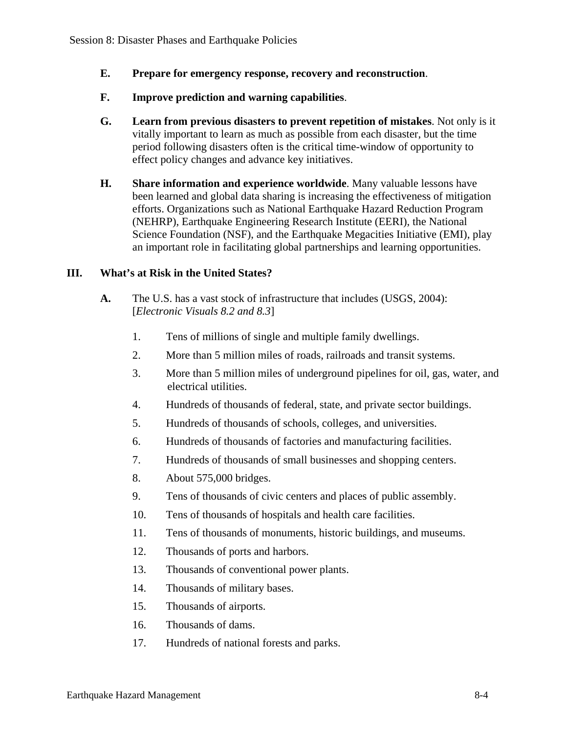- **E. Prepare for emergency response, recovery and reconstruction**.
- **F. Improve prediction and warning capabilities**.
- **G. Learn from previous disasters to prevent repetition of mistakes**. Not only is it vitally important to learn as much as possible from each disaster, but the time period following disasters often is the critical time-window of opportunity to effect policy changes and advance key initiatives.
- **H. Share information and experience worldwide**. Many valuable lessons have been learned and global data sharing is increasing the effectiveness of mitigation efforts. Organizations such as National Earthquake Hazard Reduction Program (NEHRP), Earthquake Engineering Research Institute (EERI), the National Science Foundation (NSF), and the Earthquake Megacities Initiative (EMI), play an important role in facilitating global partnerships and learning opportunities.

## **III. What's at Risk in the United States?**

- **A.** The U.S. has a vast stock of infrastructure that includes (USGS, 2004): [*Electronic Visuals 8.2 and 8.3*]
	- 1. Tens of millions of single and multiple family dwellings.
	- 2. More than 5 million miles of roads, railroads and transit systems.
	- 3. More than 5 million miles of underground pipelines for oil, gas, water, and electrical utilities.
	- 4. Hundreds of thousands of federal, state, and private sector buildings.
	- 5. Hundreds of thousands of schools, colleges, and universities.
	- 6. Hundreds of thousands of factories and manufacturing facilities.
	- 7. Hundreds of thousands of small businesses and shopping centers.
	- 8. About 575,000 bridges.
	- 9. Tens of thousands of civic centers and places of public assembly.
	- 10. Tens of thousands of hospitals and health care facilities.
	- 11. Tens of thousands of monuments, historic buildings, and museums.
	- 12. Thousands of ports and harbors.
	- 13. Thousands of conventional power plants.
	- 14. Thousands of military bases.
	- 15. Thousands of airports.
	- 16. Thousands of dams.
	- 17. Hundreds of national forests and parks.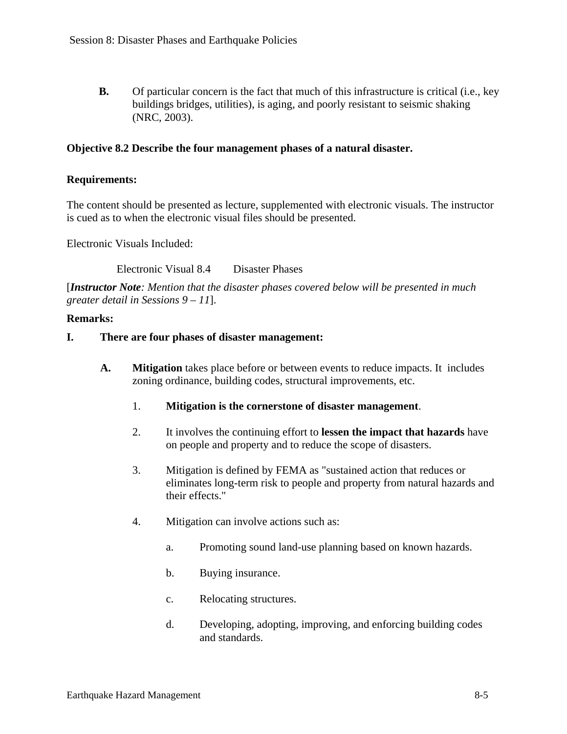**B.** Of particular concern is the fact that much of this infrastructure is critical (i.e., key buildings bridges, utilities), is aging, and poorly resistant to seismic shaking (NRC, 2003).

### **Objective 8.2 Describe the four management phases of a natural disaster.**

#### **Requirements:**

The content should be presented as lecture, supplemented with electronic visuals. The instructor is cued as to when the electronic visual files should be presented.

Electronic Visuals Included:

Electronic Visual 8.4 Disaster Phases

[*Instructor Note: Mention that the disaster phases covered below will be presented in much greater detail in Sessions 9 – 11*].

#### **Remarks:**

#### **I. There are four phases of disaster management:**

- **A. Mitigation** takes place before or between events to reduce impacts. It includes zoning ordinance, building codes, structural improvements, etc.
	- 1. **Mitigation is the cornerstone of disaster management**.
	- 2. It involves the continuing effort to **lessen the impact that hazards** have on people and property and to reduce the scope of disasters.
	- 3. Mitigation is defined by FEMA as "sustained action that reduces or eliminates long-term risk to people and property from natural hazards and their effects."
	- 4. Mitigation can involve actions such as:
		- a. Promoting sound land-use planning based on known hazards.
		- b. Buying insurance.
		- c. Relocating structures.
		- d. Developing, adopting, improving, and enforcing building codes and standards.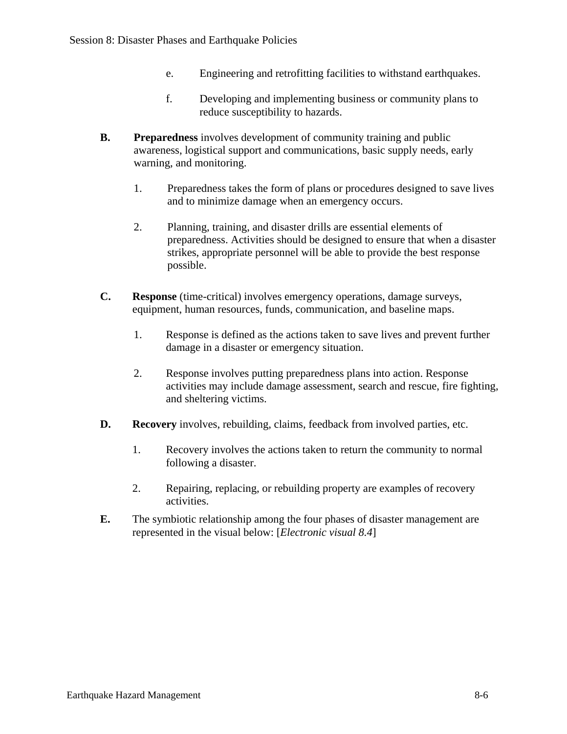- e. Engineering and retrofitting facilities to withstand earthquakes.
- f. Developing and implementing business or community plans to reduce susceptibility to hazards.
- **B.** Preparedness involves development of community training and public awareness, logistical support and communications, basic supply needs, early warning, and monitoring.
	- 1. Preparedness takes the form of plans or procedures designed to save lives and to minimize damage when an emergency occurs.
	- 2. Planning, training, and disaster drills are essential elements of preparedness. Activities should be designed to ensure that when a disaster strikes, appropriate personnel will be able to provide the best response possible.
- **C. Response** (time-critical) involves emergency operations, damage surveys, equipment, human resources, funds, communication, and baseline maps.
	- 1. Response is defined as the actions taken to save lives and prevent further damage in a disaster or emergency situation.
	- 2. Response involves putting preparedness plans into action. Response activities may include damage assessment, search and rescue, fire fighting, and sheltering victims.
- **D.** Recovery involves, rebuilding, claims, feedback from involved parties, etc.
	- 1. Recovery involves the actions taken to return the community to normal following a disaster.
	- 2. Repairing, replacing, or rebuilding property are examples of recovery activities.
- **E.** The symbiotic relationship among the four phases of disaster management are represented in the visual below: [*Electronic visual 8.4*]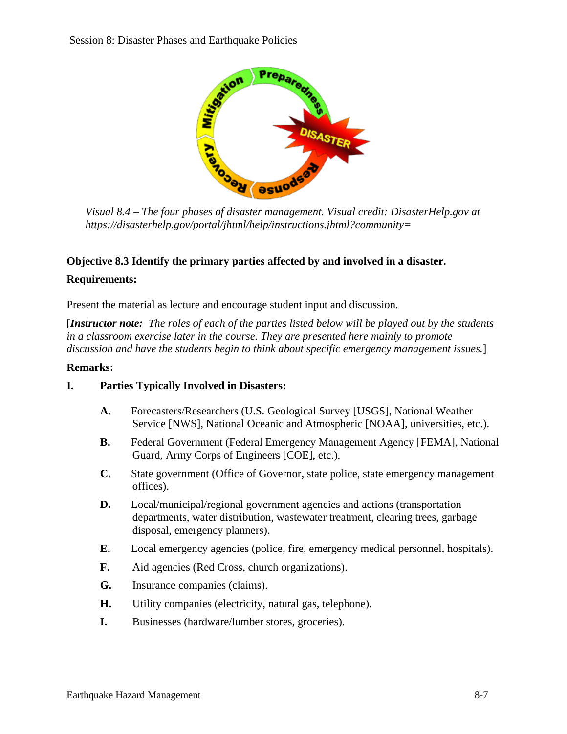

*Visual 8.4 – The four phases of disaster management. Visual credit: DisasterHelp.gov at https://disasterhelp.gov/portal/jhtml/help/instructions.jhtml?community=*

# **Objective 8.3 Identify the primary parties affected by and involved in a disaster.**

#### **Requirements:**

Present the material as lecture and encourage student input and discussion.

[*Instructor note: The roles of each of the parties listed below will be played out by the students in a classroom exercise later in the course. They are presented here mainly to promote discussion and have the students begin to think about specific emergency management issues.*]

#### **Remarks:**

### **I. Parties Typically Involved in Disasters:**

- **A.** Forecasters/Researchers (U.S. Geological Survey [USGS], National Weather Service [NWS], National Oceanic and Atmospheric [NOAA], universities, etc.).
- **B.** Federal Government (Federal Emergency Management Agency [FEMA], National Guard, Army Corps of Engineers [COE], etc.).
- **C.** State government (Office of Governor, state police, state emergency management offices).
- **D.** Local/municipal/regional government agencies and actions (transportation departments, water distribution, wastewater treatment, clearing trees, garbage disposal, emergency planners).
- **E.** Local emergency agencies (police, fire, emergency medical personnel, hospitals).
- **F.** Aid agencies (Red Cross, church organizations).
- **G.** Insurance companies (claims).
- **H.** Utility companies (electricity, natural gas, telephone).
- **I.** Businesses (hardware/lumber stores, groceries).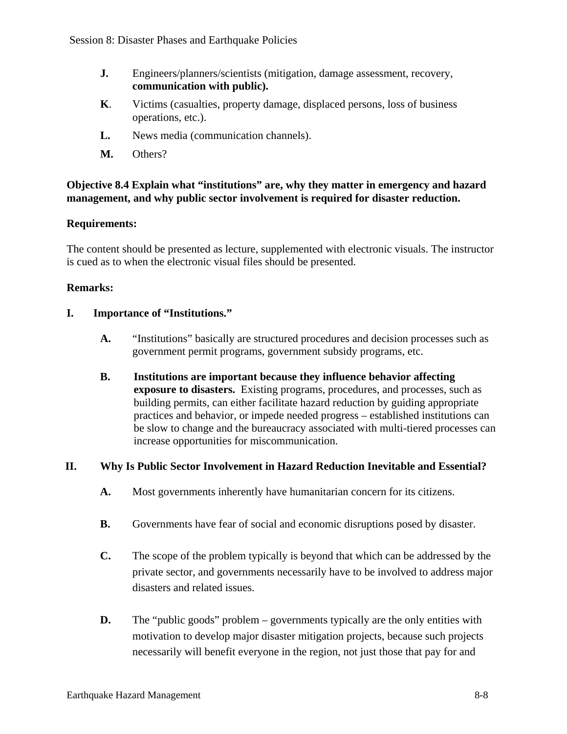- **J.** Engineers/planners/scientists (mitigation, damage assessment, recovery, **communication with public).**
- **K**. Victims (casualties, property damage, displaced persons, loss of business operations, etc.).
- **L.** News media (communication channels).
- **M.** Others?

## **Objective 8.4 Explain what "institutions" are, why they matter in emergency and hazard management, and why public sector involvement is required for disaster reduction.**

### **Requirements:**

The content should be presented as lecture, supplemented with electronic visuals. The instructor is cued as to when the electronic visual files should be presented.

### **Remarks:**

## **I. Importance of "Institutions."**

- **A.** "Institutions" basically are structured procedures and decision processes such as government permit programs, government subsidy programs, etc.
- **B. Institutions are important because they influence behavior affecting exposure to disasters.** Existing programs, procedures, and processes, such as building permits, can either facilitate hazard reduction by guiding appropriate practices and behavior, or impede needed progress – established institutions can be slow to change and the bureaucracy associated with multi-tiered processes can increase opportunities for miscommunication.

# **II. Why Is Public Sector Involvement in Hazard Reduction Inevitable and Essential?**

- **A.** Most governments inherently have humanitarian concern for its citizens.
- **B.** Governments have fear of social and economic disruptions posed by disaster.
- **C.** The scope of the problem typically is beyond that which can be addressed by the private sector, and governments necessarily have to be involved to address major disasters and related issues.
- **D.** The "public goods" problem governments typically are the only entities with motivation to develop major disaster mitigation projects, because such projects necessarily will benefit everyone in the region, not just those that pay for and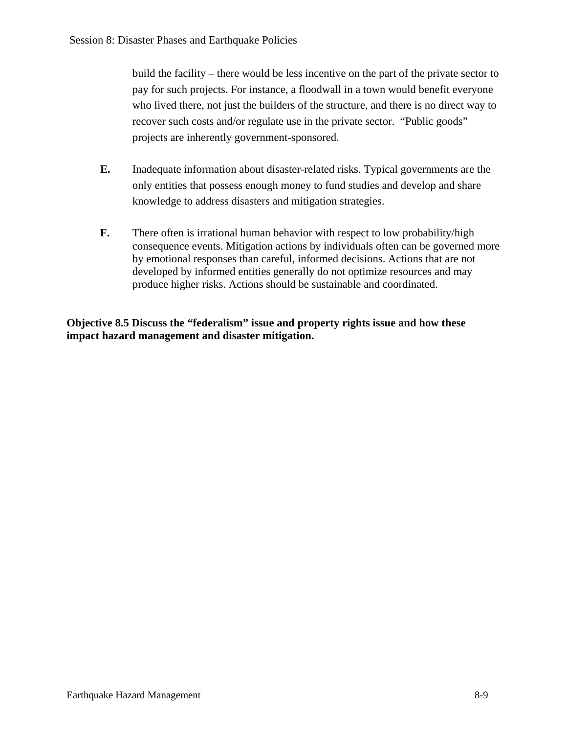build the facility – there would be less incentive on the part of the private sector to pay for such projects. For instance, a floodwall in a town would benefit everyone who lived there, not just the builders of the structure, and there is no direct way to recover such costs and/or regulate use in the private sector. "Public goods" projects are inherently government-sponsored.

- **E.** Inadequate information about disaster-related risks. Typical governments are the only entities that possess enough money to fund studies and develop and share knowledge to address disasters and mitigation strategies.
- **F.** There often is irrational human behavior with respect to low probability/high consequence events. Mitigation actions by individuals often can be governed more by emotional responses than careful, informed decisions. Actions that are not developed by informed entities generally do not optimize resources and may produce higher risks. Actions should be sustainable and coordinated.

**Objective 8.5 Discuss the "federalism" issue and property rights issue and how these impact hazard management and disaster mitigation.**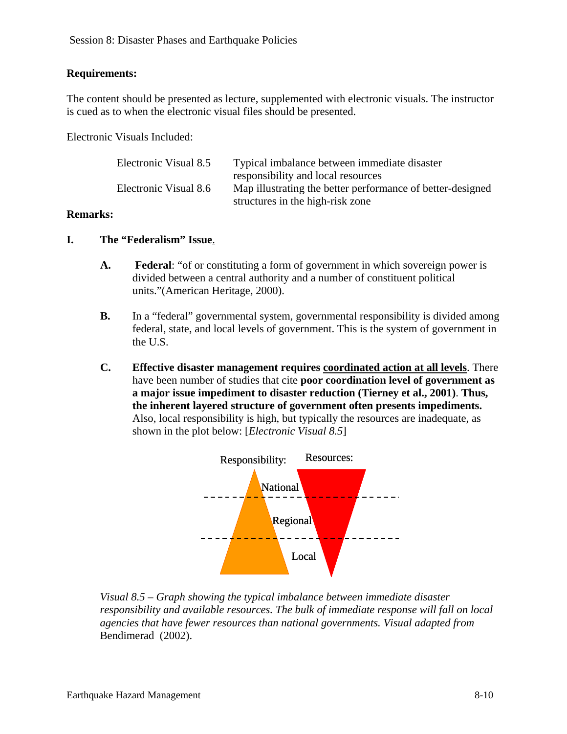## **Requirements:**

The content should be presented as lecture, supplemented with electronic visuals. The instructor is cued as to when the electronic visual files should be presented.

Electronic Visuals Included:

| Electronic Visual 8.5 | Typical imbalance between immediate disaster               |
|-----------------------|------------------------------------------------------------|
|                       | responsibility and local resources                         |
| Electronic Visual 8.6 | Map illustrating the better performance of better-designed |
|                       | structures in the high-risk zone                           |

### **Remarks:**

- **I. The "Federalism" Issue**.
	- **A. Federal**: "of or constituting a form of government in which sovereign power is divided between a central authority and a number of constituent political units."(American Heritage, 2000).
	- **B.** In a "federal" governmental system, governmental responsibility is divided among federal, state, and local levels of government. This is the system of government in the U.S.
	- **C. Effective disaster management requires coordinated action at all levels**. There have been number of studies that cite **poor coordination level of government as a major issue impediment to disaster reduction (Tierney et al., 2001)**. **Thus, the inherent layered structure of government often presents impediments.**  Also, local responsibility is high, but typically the resources are inadequate, as shown in the plot below: [*Electronic Visual 8.5*]



*Visual 8.5 – Graph showing the typical imbalance between immediate disaster responsibility and available resources. The bulk of immediate response will fall on local agencies that have fewer resources than national governments. Visual adapted from* Bendimerad (2002).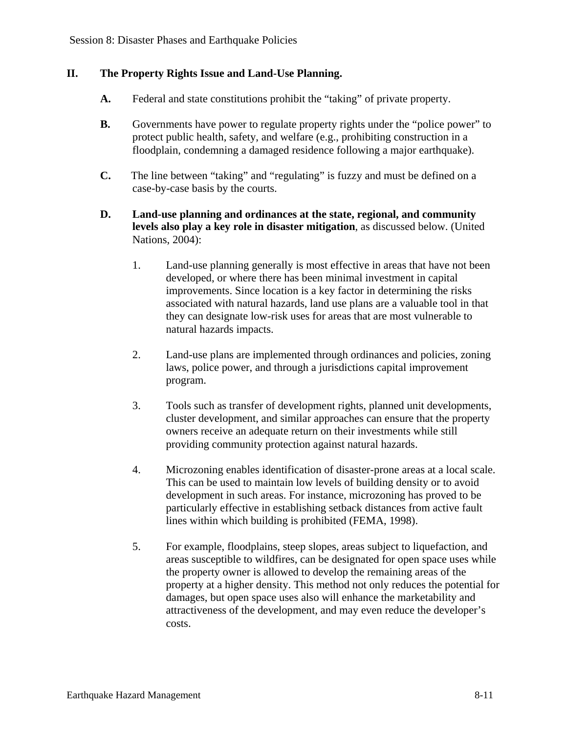# **II. The Property Rights Issue and Land-Use Planning.**

- **A.** Federal and state constitutions prohibit the "taking" of private property.
- **B.** Governments have power to regulate property rights under the "police power" to protect public health, safety, and welfare (e.g., prohibiting construction in a floodplain, condemning a damaged residence following a major earthquake).
- **C.** The line between "taking" and "regulating" is fuzzy and must be defined on a case-by-case basis by the courts.
- **D. Land-use planning and ordinances at the state, regional, and community levels also play a key role in disaster mitigation**, as discussed below. (United Nations, 2004):
	- 1. Land-use planning generally is most effective in areas that have not been developed, or where there has been minimal investment in capital improvements. Since location is a key factor in determining the risks associated with natural hazards, land use plans are a valuable tool in that they can designate low-risk uses for areas that are most vulnerable to natural hazards impacts.
	- 2. Land-use plans are implemented through ordinances and policies, zoning laws, police power, and through a jurisdictions capital improvement program.
	- 3. Tools such as transfer of development rights, planned unit developments, cluster development, and similar approaches can ensure that the property owners receive an adequate return on their investments while still providing community protection against natural hazards.
	- 4. Microzoning enables identification of disaster-prone areas at a local scale. This can be used to maintain low levels of building density or to avoid development in such areas. For instance, microzoning has proved to be particularly effective in establishing setback distances from active fault lines within which building is prohibited (FEMA, 1998).
	- 5. For example, floodplains, steep slopes, areas subject to liquefaction, and areas susceptible to wildfires, can be designated for open space uses while the property owner is allowed to develop the remaining areas of the property at a higher density. This method not only reduces the potential for damages, but open space uses also will enhance the marketability and attractiveness of the development, and may even reduce the developer's costs.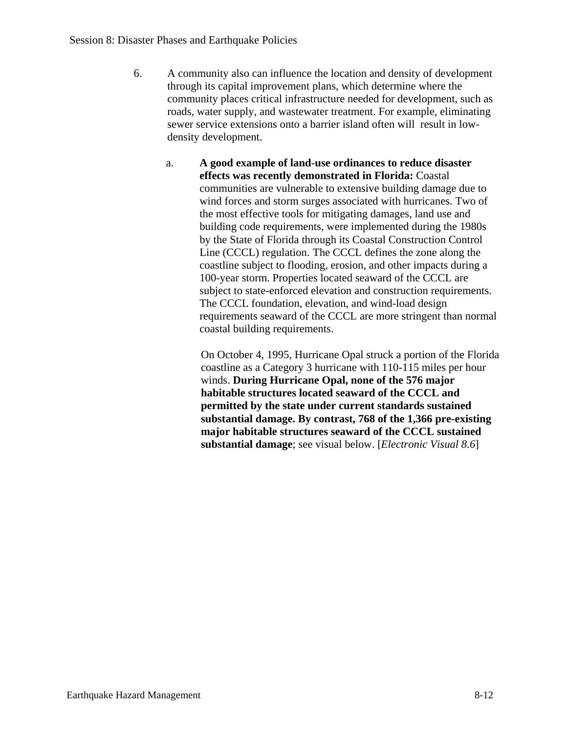- 6. A community also can influence the location and density of development through its capital improvement plans, which determine where the community places critical infrastructure needed for development, such as roads, water supply, and wastewater treatment. For example, eliminating sewer service extensions onto a barrier island often will result in lowdensity development.
	- a. **A good example of land-use ordinances to reduce disaster effects was recently demonstrated in Florida:** Coastal communities are vulnerable to extensive building damage due to wind forces and storm surges associated with hurricanes. Two of the most effective tools for mitigating damages, land use and building code requirements, were implemented during the 1980s by the State of Florida through its Coastal Construction Control Line (CCCL) regulation. The CCCL defines the zone along the coastline subject to flooding, erosion, and other impacts during a 100-year storm. Properties located seaward of the CCCL are subject to state-enforced elevation and construction requirements. The CCCL foundation, elevation, and wind-load design requirements seaward of the CCCL are more stringent than normal coastal building requirements.

On October 4, 1995, Hurricane Opal struck a portion of the Florida coastline as a Category 3 hurricane with 110-115 miles per hour winds. **During Hurricane Opal, none of the 576 major habitable structures located seaward of the CCCL and permitted by the state under current standards sustained substantial damage. By contrast, 768 of the 1,366 pre-existing major habitable structures seaward of the CCCL sustained substantial damage**; see visual below. [*Electronic Visual 8.6*]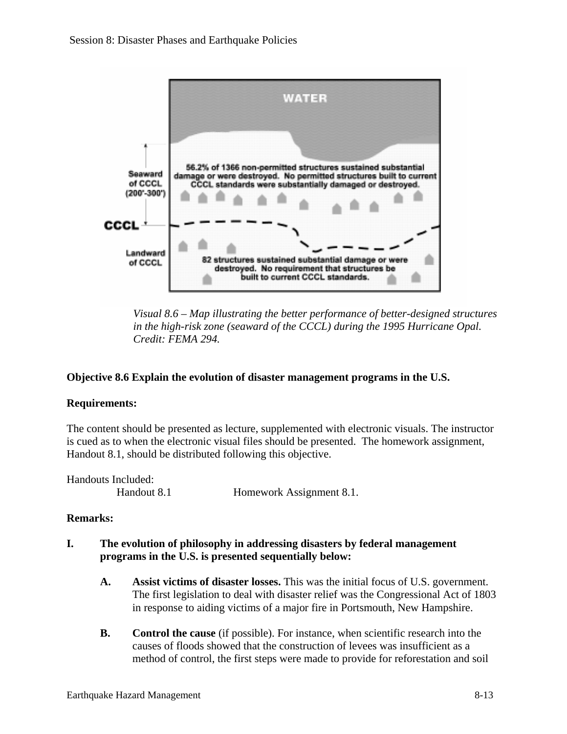

*Visual 8.6 – Map illustrating the better performance of better-designed structures in the high-risk zone (seaward of the CCCL) during the 1995 Hurricane Opal. Credit: FEMA 294.* 

# **Objective 8.6 Explain the evolution of disaster management programs in the U.S.**

### **Requirements:**

The content should be presented as lecture, supplemented with electronic visuals. The instructor is cued as to when the electronic visual files should be presented. The homework assignment, Handout 8.1, should be distributed following this objective.

| Handouts Included: |                          |
|--------------------|--------------------------|
| Handout 8.1        | Homework Assignment 8.1. |

### **Remarks:**

### **I. The evolution of philosophy in addressing disasters by federal management programs in the U.S. is presented sequentially below:**

- **A. Assist victims of disaster losses.** This was the initial focus of U.S. government. The first legislation to deal with disaster relief was the Congressional Act of 1803 in response to aiding victims of a major fire in Portsmouth, New Hampshire.
- **B. Control the cause** (if possible). For instance, when scientific research into the causes of floods showed that the construction of levees was insufficient as a method of control, the first steps were made to provide for reforestation and soil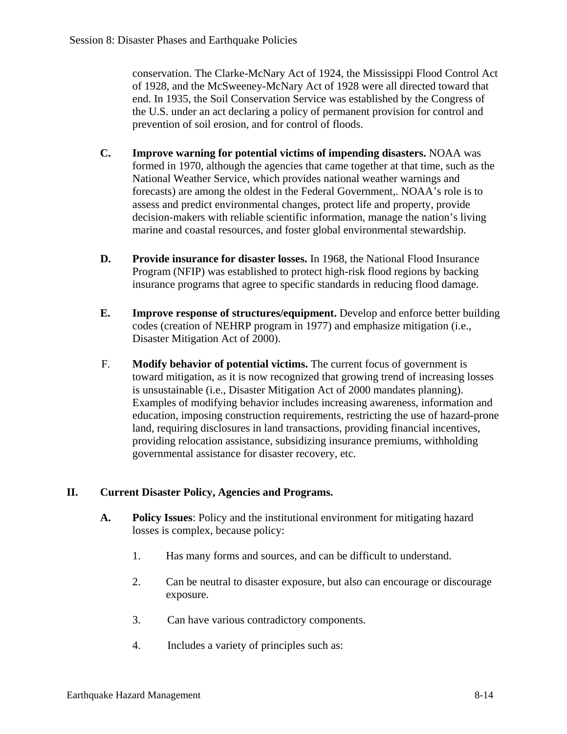conservation. The Clarke-McNary Act of 1924, the Mississippi Flood Control Act of 1928, and the McSweeney-McNary Act of 1928 were all directed toward that end. In 1935, the Soil Conservation Service was established by the Congress of the U.S. under an act declaring a policy of permanent provision for control and prevention of soil erosion, and for control of floods.

- **C. Improve warning for potential victims of impending disasters.** NOAA was formed in 1970, although the agencies that came together at that time, such as the National Weather Service, which provides national weather warnings and forecasts) are among the oldest in the Federal Government,. NOAA's role is to assess and predict environmental changes, protect life and property, provide decision-makers with reliable scientific information, manage the nation's living marine and coastal resources, and foster global environmental stewardship.
- **D. Provide insurance for disaster losses.** In 1968, the National Flood Insurance Program (NFIP) was established to protect high-risk flood regions by backing insurance programs that agree to specific standards in reducing flood damage.
- **E. Improve response of structures/equipment.** Develop and enforce better building codes (creation of NEHRP program in 1977) and emphasize mitigation (i.e., Disaster Mitigation Act of 2000).
- F. **Modify behavior of potential victims.** The current focus of government is toward mitigation, as it is now recognized that growing trend of increasing losses is unsustainable (i.e., Disaster Mitigation Act of 2000 mandates planning). Examples of modifying behavior includes increasing awareness, information and education, imposing construction requirements, restricting the use of hazard-prone land, requiring disclosures in land transactions, providing financial incentives, providing relocation assistance, subsidizing insurance premiums, withholding governmental assistance for disaster recovery, etc.

# **II. Current Disaster Policy, Agencies and Programs.**

- **A. Policy Issues**: Policy and the institutional environment for mitigating hazard losses is complex, because policy:
	- 1. Has many forms and sources, and can be difficult to understand.
	- 2. Can be neutral to disaster exposure, but also can encourage or discourage exposure.
	- 3. Can have various contradictory components.
	- 4. Includes a variety of principles such as: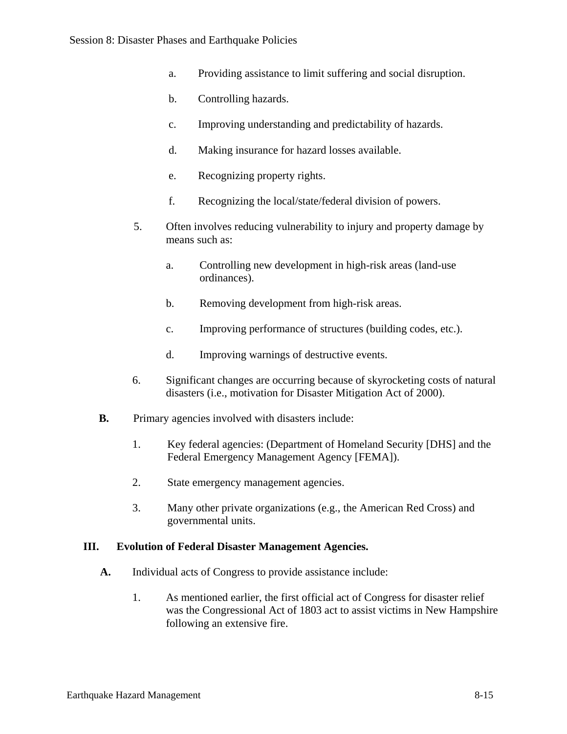- a. Providing assistance to limit suffering and social disruption.
- b. Controlling hazards.
- c. Improving understanding and predictability of hazards.
- d. Making insurance for hazard losses available.
- e. Recognizing property rights.
- f. Recognizing the local/state/federal division of powers.
- 5. Often involves reducing vulnerability to injury and property damage by means such as:
	- a. Controlling new development in high-risk areas (land-use ordinances).
	- b. Removing development from high-risk areas.
	- c. Improving performance of structures (building codes, etc.).
	- d. Improving warnings of destructive events.
- 6. Significant changes are occurring because of skyrocketing costs of natural disasters (i.e., motivation for Disaster Mitigation Act of 2000).
- **B.** Primary agencies involved with disasters include:
	- 1. Key federal agencies: (Department of Homeland Security [DHS] and the Federal Emergency Management Agency [FEMA]).
	- 2. State emergency management agencies.
	- 3. Many other private organizations (e.g., the American Red Cross) and governmental units.

### **III. Evolution of Federal Disaster Management Agencies.**

- **A.** Individual acts of Congress to provide assistance include:
	- 1. As mentioned earlier, the first official act of Congress for disaster relief was the Congressional Act of 1803 act to assist victims in New Hampshire following an extensive fire.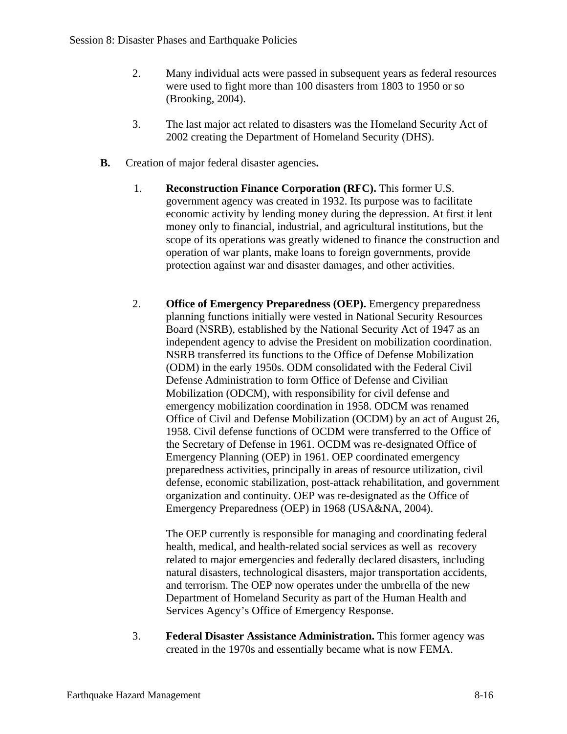- 2. Many individual acts were passed in subsequent years as federal resources were used to fight more than 100 disasters from 1803 to 1950 or so (Brooking, 2004).
- 3. The last major act related to disasters was the Homeland Security Act of 2002 creating the Department of Homeland Security (DHS).
- **B.** Creation of major federal disaster agencies**.** 
	- 1. **Reconstruction Finance Corporation (RFC).** This former U.S. government agency was created in 1932. Its purpose was to facilitate economic activity by lending money during the depression. At first it lent money only to financial, industrial, and agricultural institutions, but the scope of its operations was greatly widened to finance the construction and operation of war plants, make loans to foreign governments, provide protection against war and disaster damages, and other activities.
	- 2. **Office of Emergency Preparedness (OEP).** Emergency preparedness planning functions initially were vested in National Security Resources Board (NSRB), established by the National Security Act of 1947 as an independent agency to advise the President on mobilization coordination. NSRB transferred its functions to the Office of Defense Mobilization (ODM) in the early 1950s. ODM consolidated with the Federal Civil Defense Administration to form Office of Defense and Civilian Mobilization (ODCM), with responsibility for civil defense and emergency mobilization coordination in 1958. ODCM was renamed Office of Civil and Defense Mobilization (OCDM) by an act of August 26, 1958. Civil defense functions of OCDM were transferred to the Office of the Secretary of Defense in 1961. OCDM was re-designated Office of Emergency Planning (OEP) in 1961. OEP coordinated emergency preparedness activities, principally in areas of resource utilization, civil defense, economic stabilization, post-attack rehabilitation, and government organization and continuity. OEP was re-designated as the Office of Emergency Preparedness (OEP) in 1968 (USA&NA, 2004).

The OEP currently is responsible for managing and coordinating federal health, medical, and health-related social services as well as recovery related to major emergencies and federally declared disasters, including natural disasters, technological disasters, major transportation accidents, and terrorism. The OEP now operates under the umbrella of the new Department of Homeland Security as part of the Human Health and Services Agency's Office of Emergency Response.

3. **Federal Disaster Assistance Administration.** This former agency was created in the 1970s and essentially became what is now FEMA.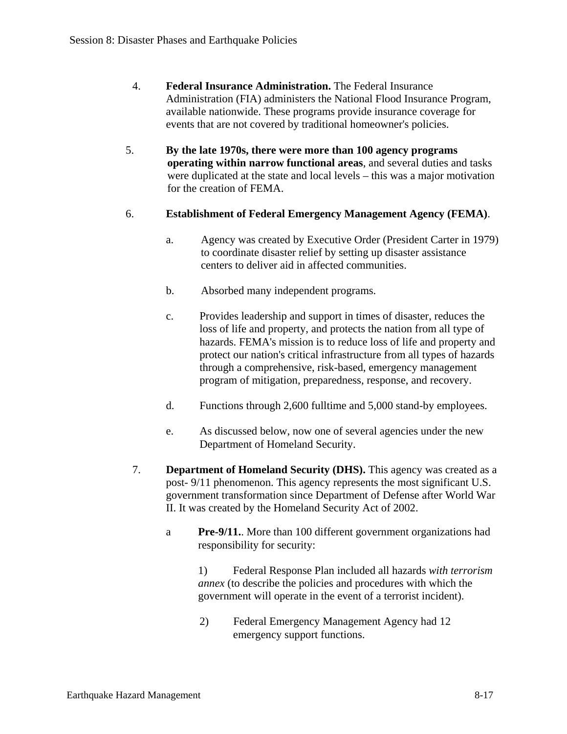- 4. **Federal Insurance Administration.** The Federal Insurance Administration (FIA) administers the National Flood Insurance Program, available nationwide. These programs provide insurance coverage for events that are not covered by traditional homeowner's policies.
- 5. **By the late 1970s, there were more than 100 agency programs operating within narrow functional areas**, and several duties and tasks were duplicated at the state and local levels – this was a major motivation for the creation of FEMA.
- 6. **Establishment of Federal Emergency Management Agency (FEMA)**.
	- a. Agency was created by Executive Order (President Carter in 1979) to coordinate disaster relief by setting up disaster assistance centers to deliver aid in affected communities.
	- b. Absorbed many independent programs.
	- c. Provides leadership and support in times of disaster, reduces the loss of life and property, and protects the nation from all type of hazards. FEMA's mission is to reduce loss of life and property and protect our nation's critical infrastructure from all types of hazards through a comprehensive, risk-based, emergency management program of mitigation, preparedness, response, and recovery.
	- d. Functions through 2,600 fulltime and 5,000 stand-by employees.
	- e. As discussed below, now one of several agencies under the new Department of Homeland Security.
	- 7. **Department of Homeland Security (DHS).** This agency was created as a post- 9/11 phenomenon. This agency represents the most significant U.S. government transformation since Department of Defense after World War II. It was created by the Homeland Security Act of 2002.
		- a **Pre-9/11.**. More than 100 different government organizations had responsibility for security:

 1) Federal Response Plan included all hazards *with terrorism annex* (to describe the policies and procedures with which the government will operate in the event of a terrorist incident).

2) Federal Emergency Management Agency had 12 emergency support functions.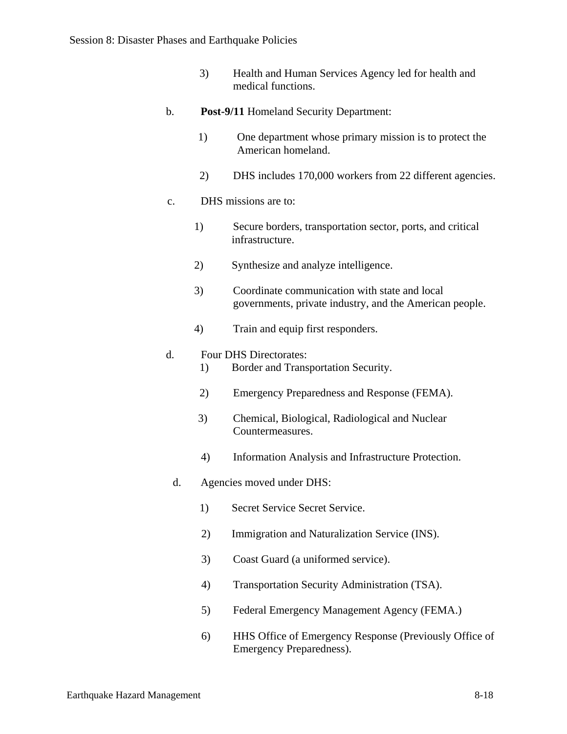3) Health and Human Services Agency led for health and medical functions.

#### b. **Post-9/11** Homeland Security Department:

- 1) One department whose primary mission is to protect the American homeland.
- 2) DHS includes 170,000 workers from 22 different agencies.
- c. DHS missions are to:
	- 1) Secure borders, transportation sector, ports, and critical infrastructure.
	- 2) Synthesize and analyze intelligence.
	- 3) Coordinate communication with state and local governments, private industry, and the American people.
	- 4) Train and equip first responders.

#### d. Four DHS Directorates:

- 1) Border and Transportation Security.
- 2) Emergency Preparedness and Response (FEMA).
- 3) Chemical, Biological, Radiological and Nuclear Countermeasures.
- 4) Information Analysis and Infrastructure Protection.
- d. Agencies moved under DHS:
	- 1) Secret Service Secret Service.
	- 2) Immigration and Naturalization Service (INS).
	- 3) Coast Guard (a uniformed service).
	- 4) Transportation Security Administration (TSA).
	- 5) Federal Emergency Management Agency (FEMA.)
	- 6) HHS Office of Emergency Response (Previously Office of Emergency Preparedness).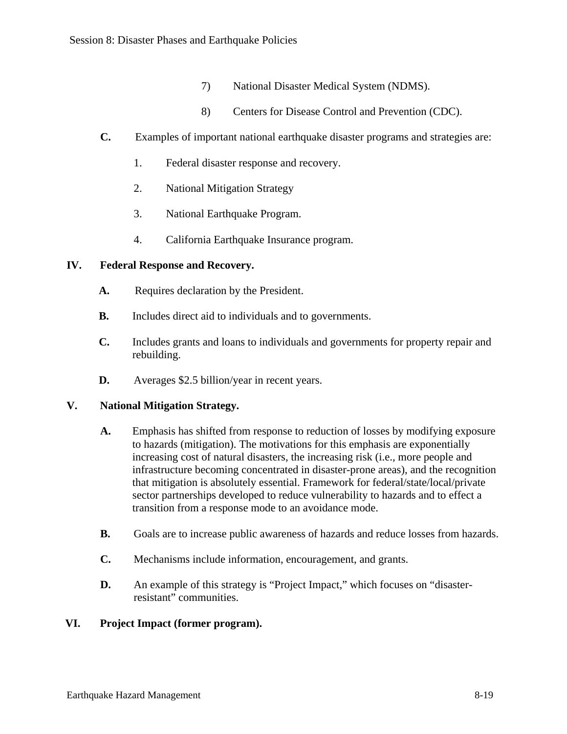- 7) National Disaster Medical System (NDMS).
- 8) Centers for Disease Control and Prevention (CDC).
- **C.** Examples of important national earthquake disaster programs and strategies are:
	- 1. Federal disaster response and recovery.
	- 2. National Mitigation Strategy
	- 3. National Earthquake Program.
	- 4. California Earthquake Insurance program.

# **IV. Federal Response and Recovery.**

- **A.** Requires declaration by the President.
- **B.** Includes direct aid to individuals and to governments.
- **C.** Includes grants and loans to individuals and governments for property repair and rebuilding.
- **D.** Averages \$2.5 billion/year in recent years.

# **V. National Mitigation Strategy.**

- **A.** Emphasis has shifted from response to reduction of losses by modifying exposure to hazards (mitigation). The motivations for this emphasis are exponentially increasing cost of natural disasters, the increasing risk (i.e., more people and infrastructure becoming concentrated in disaster-prone areas), and the recognition that mitigation is absolutely essential. Framework for federal/state/local/private sector partnerships developed to reduce vulnerability to hazards and to effect a transition from a response mode to an avoidance mode.
- **B.** Goals are to increase public awareness of hazards and reduce losses from hazards.
- **C.** Mechanisms include information, encouragement, and grants.
- **D.** An example of this strategy is "Project Impact," which focuses on "disasterresistant" communities.

# **VI. Project Impact (former program).**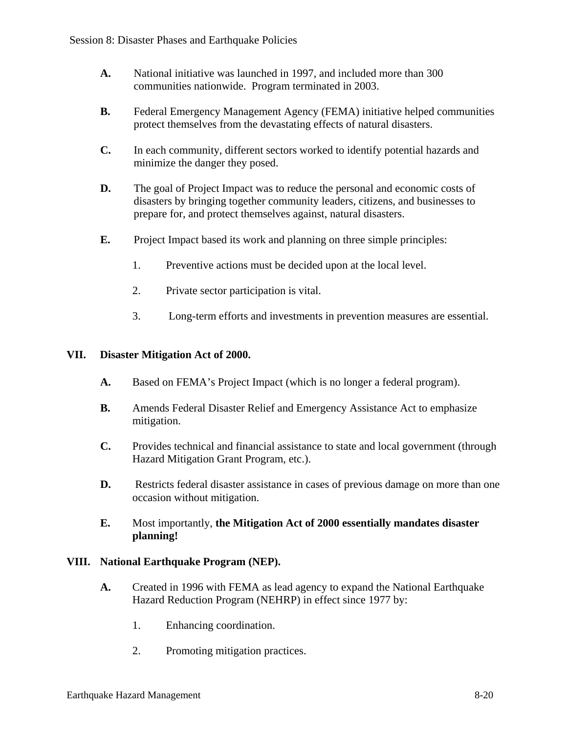- **A.** National initiative was launched in 1997, and included more than 300 communities nationwide. Program terminated in 2003.
- **B.** Federal Emergency Management Agency (FEMA) initiative helped communities protect themselves from the devastating effects of natural disasters.
- **C.** In each community, different sectors worked to identify potential hazards and minimize the danger they posed.
- **D.** The goal of Project Impact was to reduce the personal and economic costs of disasters by bringing together community leaders, citizens, and businesses to prepare for, and protect themselves against, natural disasters.
- **E.** Project Impact based its work and planning on three simple principles:
	- 1. Preventive actions must be decided upon at the local level.
	- 2. Private sector participation is vital.
	- 3. Long-term efforts and investments in prevention measures are essential.

### **VII. Disaster Mitigation Act of 2000.**

- **A.** Based on FEMA's Project Impact (which is no longer a federal program).
- **B.** Amends Federal Disaster Relief and Emergency Assistance Act to emphasize mitigation.
- **C.** Provides technical and financial assistance to state and local government (through Hazard Mitigation Grant Program, etc.).
- **D.** Restricts federal disaster assistance in cases of previous damage on more than one occasion without mitigation.
- **E.** Most importantly, **the Mitigation Act of 2000 essentially mandates disaster planning!**

### **VIII. National Earthquake Program (NEP).**

- **A.** Created in 1996 with FEMA as lead agency to expand the National Earthquake Hazard Reduction Program (NEHRP) in effect since 1977 by:
	- 1. Enhancing coordination.
	- 2. Promoting mitigation practices.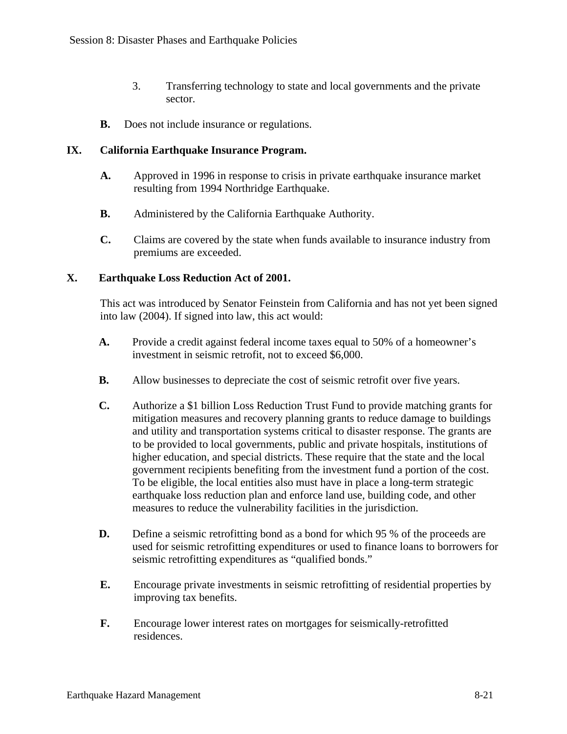- 3. Transferring technology to state and local governments and the private sector.
- **B.** Does not include insurance or regulations.

### **IX. California Earthquake Insurance Program.**

- **A.** Approved in 1996 in response to crisis in private earthquake insurance market resulting from 1994 Northridge Earthquake.
- **B.** Administered by the California Earthquake Authority.
- **C.** Claims are covered by the state when funds available to insurance industry from premiums are exceeded.

## **X. Earthquake Loss Reduction Act of 2001.**

This act was introduced by Senator Feinstein from California and has not yet been signed into law (2004). If signed into law, this act would:

- **A.** Provide a credit against federal income taxes equal to 50% of a homeowner's investment in seismic retrofit, not to exceed \$6,000.
- **B.** Allow businesses to depreciate the cost of seismic retrofit over five years.
- **C.** Authorize a \$1 billion Loss Reduction Trust Fund to provide matching grants for mitigation measures and recovery planning grants to reduce damage to buildings and utility and transportation systems critical to disaster response. The grants are to be provided to local governments, public and private hospitals, institutions of higher education, and special districts. These require that the state and the local government recipients benefiting from the investment fund a portion of the cost. To be eligible, the local entities also must have in place a long-term strategic earthquake loss reduction plan and enforce land use, building code, and other measures to reduce the vulnerability facilities in the jurisdiction.
- **D.** Define a seismic retrofitting bond as a bond for which 95 % of the proceeds are used for seismic retrofitting expenditures or used to finance loans to borrowers for seismic retrofitting expenditures as "qualified bonds."
- **E.** Encourage private investments in seismic retrofitting of residential properties by improving tax benefits.
- **F.** Encourage lower interest rates on mortgages for seismically-retrofitted residences.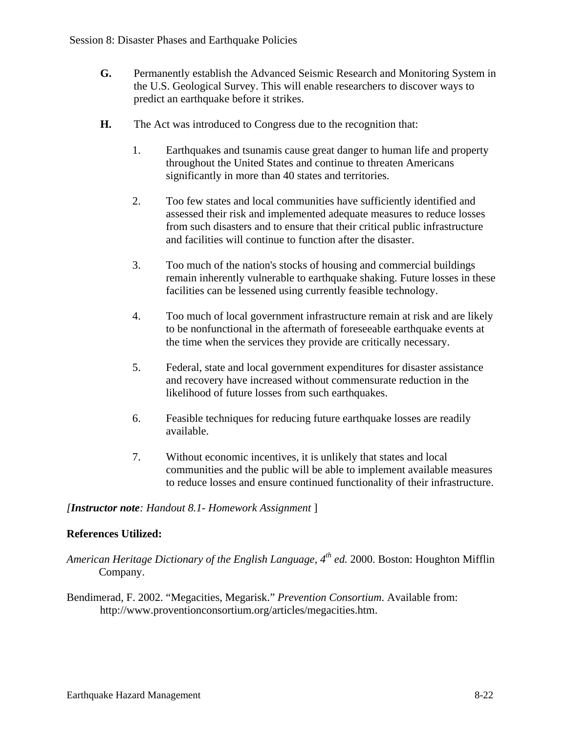- **G.** Permanently establish the Advanced Seismic Research and Monitoring System in the U.S. Geological Survey. This will enable researchers to discover ways to predict an earthquake before it strikes.
- **H.** The Act was introduced to Congress due to the recognition that:
	- 1. Earthquakes and tsunamis cause great danger to human life and property throughout the United States and continue to threaten Americans significantly in more than 40 states and territories.
	- 2. Too few states and local communities have sufficiently identified and assessed their risk and implemented adequate measures to reduce losses from such disasters and to ensure that their critical public infrastructure and facilities will continue to function after the disaster.
	- 3. Too much of the nation's stocks of housing and commercial buildings remain inherently vulnerable to earthquake shaking. Future losses in these facilities can be lessened using currently feasible technology.
	- 4. Too much of local government infrastructure remain at risk and are likely to be nonfunctional in the aftermath of foreseeable earthquake events at the time when the services they provide are critically necessary.
	- 5. Federal, state and local government expenditures for disaster assistance and recovery have increased without commensurate reduction in the likelihood of future losses from such earthquakes.
	- 6. Feasible techniques for reducing future earthquake losses are readily available.
	- 7. Without economic incentives, it is unlikely that states and local communities and the public will be able to implement available measures to reduce losses and ensure continued functionality of their infrastructure.

### *[Instructor note: Handout 8.1- Homework Assignment* ]

### **References Utilized:**

- *American Heritage Dictionary of the English Language, 4th ed.* 2000. Boston: Houghton Mifflin Company.
- Bendimerad, F. 2002. "Megacities, Megarisk." *Prevention Consortium*. Available from: http://www.proventionconsortium.org/articles/megacities.htm.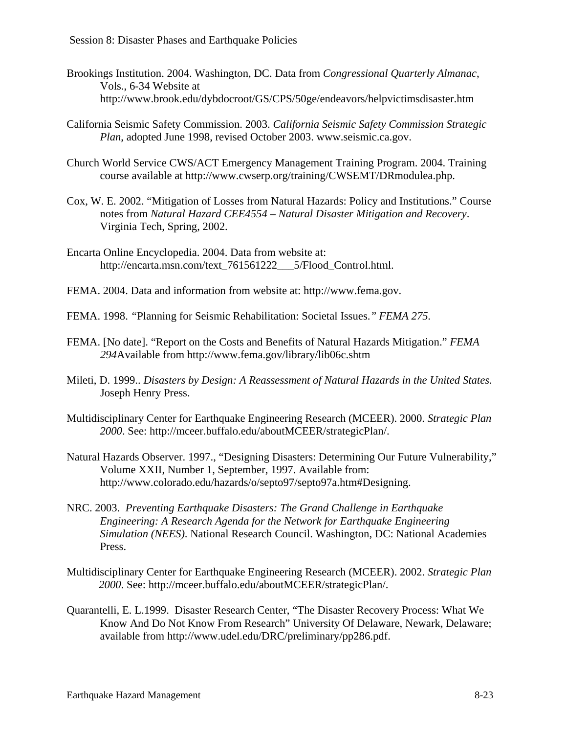- Brookings Institution. 2004. Washington, DC. Data from *Congressional Quarterly Almanac*, Vols., 6-34 Website at http://www.brook.edu/dybdocroot/GS/CPS/50ge/endeavors/helpvictimsdisaster.htm
- California Seismic Safety Commission. 2003. *California Seismic Safety Commission Strategic Plan*, adopted June 1998, revised October 2003. www.seismic.ca.gov.
- Church World Service CWS/ACT Emergency Management Training Program. 2004. Training course available at http://www.cwserp.org/training/CWSEMT/DRmodulea.php.
- Cox, W. E. 2002. "Mitigation of Losses from Natural Hazards: Policy and Institutions." Course notes from *Natural Hazard CEE4554 – Natural Disaster Mitigation and Recovery*. Virginia Tech, Spring, 2002.
- Encarta Online Encyclopedia. 2004. Data from website at: http://encarta.msn.com/text\_761561222\_\_\_5/Flood\_Control.html.
- FEMA. 2004. Data and information from website at: http://www.fema.gov.
- FEMA. 1998. *"*Planning for Seismic Rehabilitation: Societal Issues.*" FEMA 275.*
- FEMA. [No date]. "Report on the Costs and Benefits of Natural Hazards Mitigation." *FEMA 294*Available from http://www.fema.gov/library/lib06c.shtm
- Mileti, D. 1999.. *Disasters by Design: A Reassessment of Natural Hazards in the United States.* Joseph Henry Press.
- Multidisciplinary Center for Earthquake Engineering Research (MCEER). 2000. *Strategic Plan 2000*. See: http://mceer.buffalo.edu/aboutMCEER/strategicPlan/.
- Natural Hazards Observer. 1997., "Designing Disasters: Determining Our Future Vulnerability," Volume XXII, Number 1, September, 1997. Available from: http://www.colorado.edu/hazards/o/septo97/septo97a.htm#Designing.
- NRC. 2003. *Preventing Earthquake Disasters: The Grand Challenge in Earthquake Engineering: A Research Agenda for the Network for Earthquake Engineering Simulation (NEES)*. National Research Council. Washington, DC: National Academies Press.
- Multidisciplinary Center for Earthquake Engineering Research (MCEER). 2002. *Strategic Plan 2000*. See: http://mceer.buffalo.edu/aboutMCEER/strategicPlan/.
- Quarantelli, E. L.1999. Disaster Research Center, "The Disaster Recovery Process: What We Know And Do Not Know From Research" University Of Delaware, Newark, Delaware; available from http://www.udel.edu/DRC/preliminary/pp286.pdf.